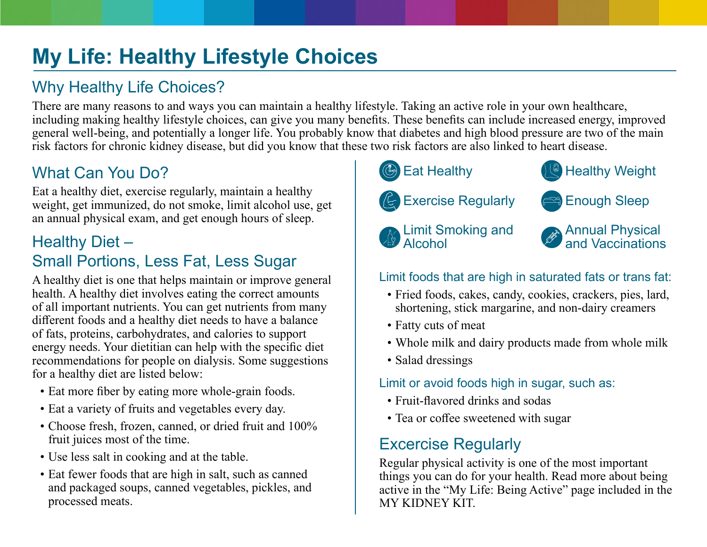# **My Life: Healthy Lifestyle Choices**

# Why Healthy Life Choices?

There are many reasons to and ways you can maintain a healthy lifestyle. Taking an active role in your own healthcare, including making healthy lifestyle choices, can give you many benefits. These benefits can include increased energy, improved general well-being, and potentially a longer life. You probably know that diabetes and high blood pressure are two of the main risk factors for chronic kidney disease, but did you know that these two risk factors are also linked to heart disease.

## What Can You Do?

Eat a healthy diet, exercise regularly, maintain a healthy weight, get immunized, do not smoke, limit alcohol use, get an annual physical exam, and get enough hours of sleep.

#### Healthy Diet – Small Portions, Less Fat, Less Sugar

A healthy diet is one that helps maintain or improve general health. A healthy diet involves eating the correct amounts of all important nutrients. You can get nutrients from many different foods and a healthy diet needs to have a balance of fats, proteins, carbohydrates, and calories to support energy needs. Your dietitian can help with the specific diet recommendations for people on dialysis. Some suggestions for a healthy diet are listed below:

- Eat more fiber by eating more whole-grain foods.
- Eat a variety of fruits and vegetables every day.
- Choose fresh, frozen, canned, or dried fruit and 100% fruit juices most of the time.
- Use less salt in cooking and at the table.
- Eat fewer foods that are high in salt, such as canned and packaged soups, canned vegetables, pickles, and processed meats.





Exercise Regularly **Enough Sleep** 



Limit Smoking and Alcohol

# Limit foods that are high in saturated fats or trans fat:

- Fried foods, cakes, candy, cookies, crackers, pies, lard, shortening, stick margarine, and non-dairy creamers
- Fatty cuts of meat
- Whole milk and dairy products made from whole milk
- Salad dressings

#### Limit or avoid foods high in sugar, such as:

- Fruit-flavored drinks and sodas
- Tea or coffee sweetened with sugar

### Excercise Regularly

Regular physical activity is one of the most important things you can do for your health. Read more about being active in the "My Life: Being Active" page included in the [MY KIDNEY KIT](http://www.mykidneykit.org/).